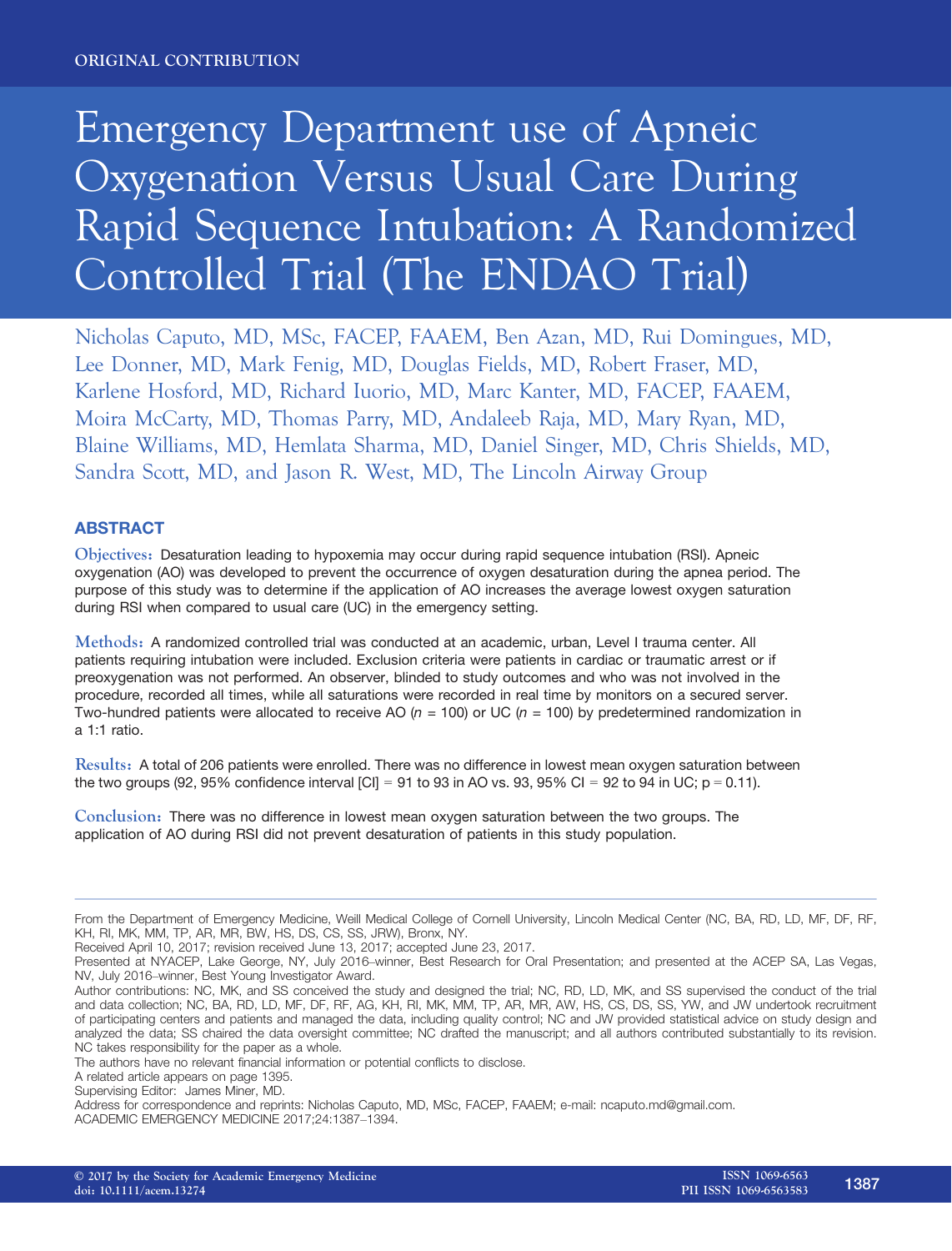# Emergency Department use of Apneic Oxygenation Versus Usual Care During Rapid Sequence Intubation: A Randomized Controlled Trial (The ENDAO Trial)

Nicholas Caputo, MD, MSc, FACEP, FAAEM, Ben Azan, MD, Rui Domingues, MD, Lee Donner, MD, Mark Fenig, MD, Douglas Fields, MD, Robert Fraser, MD, Karlene Hosford, MD, Richard Iuorio, MD, Marc Kanter, MD, FACEP, FAAEM, Moira McCarty, MD, Thomas Parry, MD, Andaleeb Raja, MD, Mary Ryan, MD, Blaine Williams, MD, Hemlata Sharma, MD, Daniel Singer, MD, Chris Shields, MD, Sandra Scott, MD, and Jason R. West, MD, The Lincoln Airway Group

## ABSTRACT

Objectives: Desaturation leading to hypoxemia may occur during rapid sequence intubation (RSI). Apneic oxygenation (AO) was developed to prevent the occurrence of oxygen desaturation during the apnea period. The purpose of this study was to determine if the application of AO increases the average lowest oxygen saturation during RSI when compared to usual care (UC) in the emergency setting.

Methods: A randomized controlled trial was conducted at an academic, urban, Level I trauma center. All patients requiring intubation were included. Exclusion criteria were patients in cardiac or traumatic arrest or if preoxygenation was not performed. An observer, blinded to study outcomes and who was not involved in the procedure, recorded all times, while all saturations were recorded in real time by monitors on a secured server. Two-hundred patients were allocated to receive AO ( $n = 100$ ) or UC ( $n = 100$ ) by predetermined randomization in a 1:1 ratio.

Results: A total of 206 patients were enrolled. There was no difference in lowest mean oxygen saturation between the two groups (92, 95% confidence interval  $|Cl| = 91$  to 93 in AO vs. 93, 95% CI = 92 to 94 in UC; p = 0.11).

Conclusion: There was no difference in lowest mean oxygen saturation between the two groups. The application of AO during RSI did not prevent desaturation of patients in this study population.

From the Department of Emergency Medicine, Weill Medical College of Cornell University, Lincoln Medical Center (NC, BA, RD, LD, MF, DF, RF, KH, RI, MK, MM, TP, AR, MR, BW, HS, DS, CS, SS, JRW), Bronx, NY.

Received April 10, 2017; revision received June 13, 2017; accepted June 23, 2017.

Presented at NYACEP, Lake George, NY, July 2016–winner, Best Research for Oral Presentation; and presented at the ACEP SA, Las Vegas, NV, July 2016–winner, Best Young Investigator Award.

Author contributions: NC, MK, and SS conceived the study and designed the trial; NC, RD, LD, MK, and SS supervised the conduct of the trial and data collection; NC, BA, RD, LD, MF, DF, RF, AG, KH, RI, MK, MM, TP, AR, MR, AW, HS, CS, DS, SS, YW, and JW undertook recruitment of participating centers and patients and managed the data, including quality control; NC and JW provided statistical advice on study design and analyzed the data; SS chaired the data oversight committee; NC drafted the manuscript; and all authors contributed substantially to its revision. NC takes responsibility for the paper as a whole.

The authors have no relevant financial information or potential conflicts to disclose.

A related article appears on page 1395.

Supervising Editor: James Miner, MD.

Address for correspondence and reprints: Nicholas Caputo, MD, MSc, FACEP, FAAEM; e-mail: ncaputo.md@gmail.com. ACADEMIC EMERGENCY MEDICINE 2017;24:1387–1394.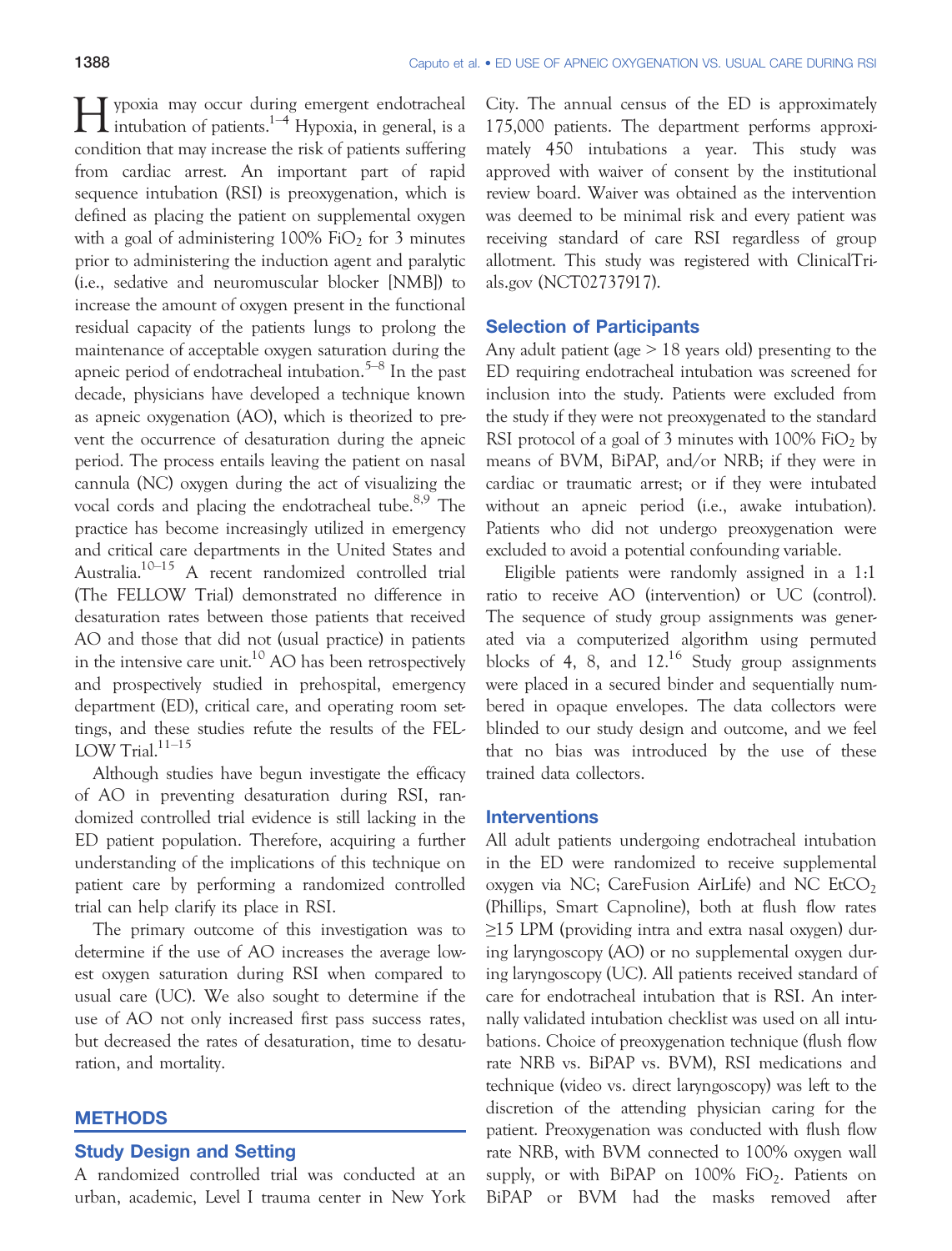Hypoxia may occur during emergent endotracheal<br>intubation of patients.<sup>1–4</sup> Hypoxia, in general, is a condition that may increase the risk of patients suffering from cardiac arrest. An important part of rapid sequence intubation (RSI) is preoxygenation, which is defined as placing the patient on supplemental oxygen with a goal of administering  $100\%$  FiO<sub>2</sub> for 3 minutes prior to administering the induction agent and paralytic (i.e., sedative and neuromuscular blocker [NMB]) to increase the amount of oxygen present in the functional residual capacity of the patients lungs to prolong the maintenance of acceptable oxygen saturation during the apneic period of endotracheal intubation.<sup>5–8</sup> In the past decade, physicians have developed a technique known as apneic oxygenation (AO), which is theorized to prevent the occurrence of desaturation during the apneic period. The process entails leaving the patient on nasal cannula (NC) oxygen during the act of visualizing the vocal cords and placing the endotracheal tube.<sup>8,9</sup> The practice has become increasingly utilized in emergency and critical care departments in the United States and Australia.10–<sup>15</sup> A recent randomized controlled trial (The FELLOW Trial) demonstrated no difference in desaturation rates between those patients that received AO and those that did not (usual practice) in patients in the intensive care unit.<sup>10</sup> AO has been retrospectively and prospectively studied in prehospital, emergency department (ED), critical care, and operating room settings, and these studies refute the results of the FEL-LOW Trial. $11-15$ 

Although studies have begun investigate the efficacy of AO in preventing desaturation during RSI, randomized controlled trial evidence is still lacking in the ED patient population. Therefore, acquiring a further understanding of the implications of this technique on patient care by performing a randomized controlled trial can help clarify its place in RSI.

The primary outcome of this investigation was to determine if the use of AO increases the average lowest oxygen saturation during RSI when compared to usual care (UC). We also sought to determine if the use of AO not only increased first pass success rates, but decreased the rates of desaturation, time to desaturation, and mortality.

## **METHODS**

## Study Design and Setting

A randomized controlled trial was conducted at an urban, academic, Level I trauma center in New York City. The annual census of the ED is approximately 175,000 patients. The department performs approximately 450 intubations a year. This study was approved with waiver of consent by the institutional review board. Waiver was obtained as the intervention was deemed to be minimal risk and every patient was receiving standard of care RSI regardless of group allotment. This study was registered with ClinicalTrials.gov (NCT02737917).

## Selection of Participants

Any adult patient (age  $> 18$  years old) presenting to the ED requiring endotracheal intubation was screened for inclusion into the study. Patients were excluded from the study if they were not preoxygenated to the standard RSI protocol of a goal of 3 minutes with  $100\%$  FiO<sub>2</sub> by means of BVM, BiPAP, and/or NRB; if they were in cardiac or traumatic arrest; or if they were intubated without an apneic period (i.e., awake intubation). Patients who did not undergo preoxygenation were excluded to avoid a potential confounding variable.

Eligible patients were randomly assigned in a 1:1 ratio to receive AO (intervention) or UC (control). The sequence of study group assignments was generated via a computerized algorithm using permuted blocks of 4, 8, and  $12^{16}$  Study group assignments were placed in a secured binder and sequentially numbered in opaque envelopes. The data collectors were blinded to our study design and outcome, and we feel that no bias was introduced by the use of these trained data collectors.

## Interventions

All adult patients undergoing endotracheal intubation in the ED were randomized to receive supplemental oxygen via NC; CareFusion AirLife) and NC  $EtCO<sub>2</sub>$ (Phillips, Smart Capnoline), both at flush flow rates ≥15 LPM (providing intra and extra nasal oxygen) during laryngoscopy (AO) or no supplemental oxygen during laryngoscopy (UC). All patients received standard of care for endotracheal intubation that is RSI. An internally validated intubation checklist was used on all intubations. Choice of preoxygenation technique (flush flow rate NRB vs. BiPAP vs. BVM), RSI medications and technique (video vs. direct laryngoscopy) was left to the discretion of the attending physician caring for the patient. Preoxygenation was conducted with flush flow rate NRB, with BVM connected to 100% oxygen wall supply, or with BiPAP on  $100\%$  FiO<sub>2</sub>. Patients on BiPAP or BVM had the masks removed after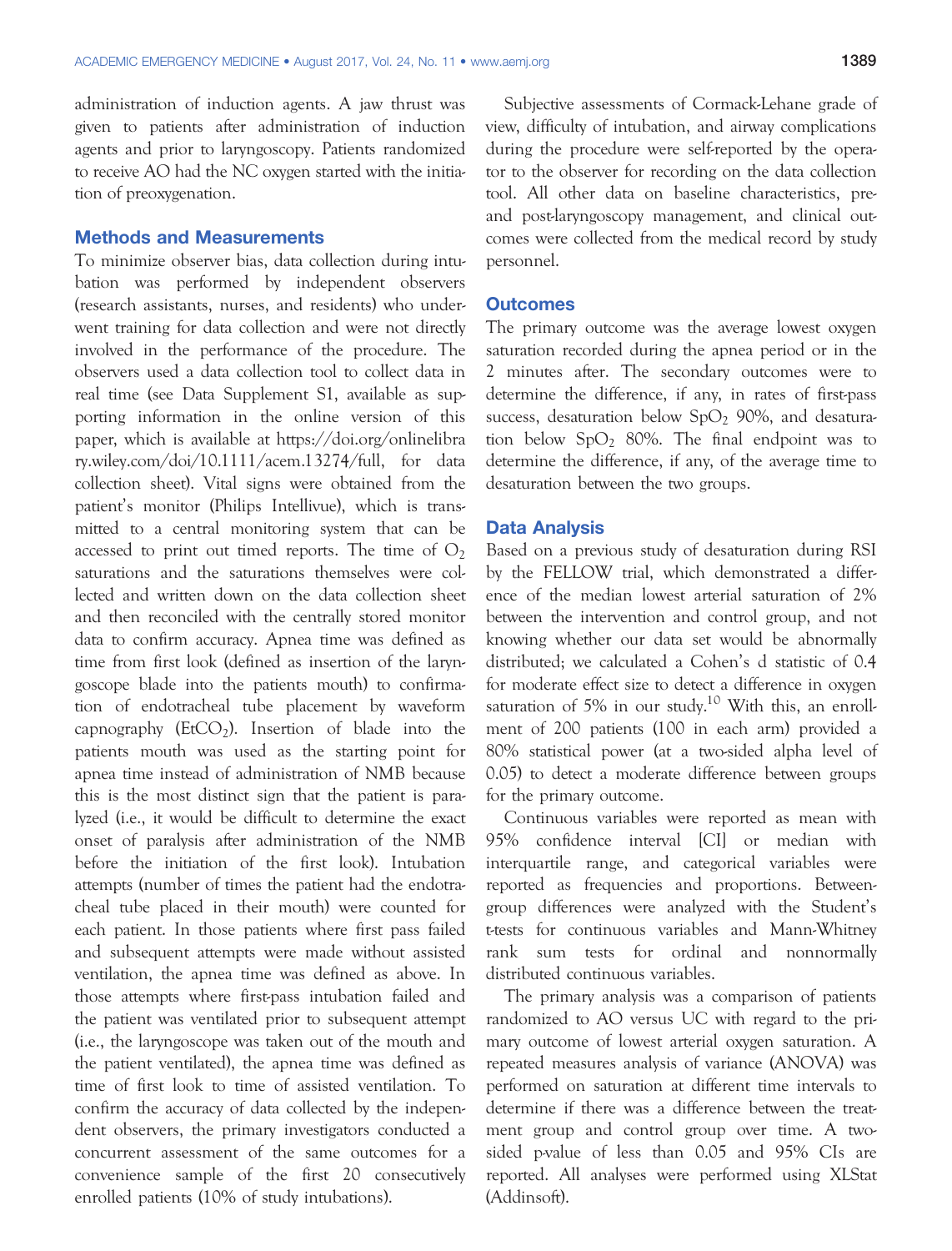administration of induction agents. A jaw thrust was given to patients after administration of induction agents and prior to laryngoscopy. Patients randomized to receive AO had the NC oxygen started with the initiation of preoxygenation.

### Methods and Measurements

To minimize observer bias, data collection during intubation was performed by independent observers (research assistants, nurses, and residents) who underwent training for data collection and were not directly involved in the performance of the procedure. The observers used a data collection tool to collect data in real time (see Data Supplement S1, available as supporting information in the online version of this paper, which is available at [https://doi.org/onlinelibra](https://doi.org/onlinelibrary.wiley.com/doi/10.1111/acem.13274/full) [ry.wiley.com/doi/10.1111/acem.13274/full](https://doi.org/onlinelibrary.wiley.com/doi/10.1111/acem.13274/full), for data collection sheet). Vital signs were obtained from the patient's monitor (Philips Intellivue), which is transmitted to a central monitoring system that can be accessed to print out timed reports. The time of  $O_2$ saturations and the saturations themselves were collected and written down on the data collection sheet and then reconciled with the centrally stored monitor data to confirm accuracy. Apnea time was defined as time from first look (defined as insertion of the laryngoscope blade into the patients mouth) to confirmation of endotracheal tube placement by waveform capnography ( $EtCO<sub>2</sub>$ ). Insertion of blade into the patients mouth was used as the starting point for apnea time instead of administration of NMB because this is the most distinct sign that the patient is paralyzed (i.e., it would be difficult to determine the exact onset of paralysis after administration of the NMB before the initiation of the first look). Intubation attempts (number of times the patient had the endotracheal tube placed in their mouth) were counted for each patient. In those patients where first pass failed and subsequent attempts were made without assisted ventilation, the apnea time was defined as above. In those attempts where first-pass intubation failed and the patient was ventilated prior to subsequent attempt (i.e., the laryngoscope was taken out of the mouth and the patient ventilated), the apnea time was defined as time of first look to time of assisted ventilation. To confirm the accuracy of data collected by the independent observers, the primary investigators conducted a concurrent assessment of the same outcomes for a convenience sample of the first 20 consecutively enrolled patients (10% of study intubations).

Subjective assessments of Cormack-Lehane grade of view, difficulty of intubation, and airway complications during the procedure were self-reported by the operator to the observer for recording on the data collection tool. All other data on baseline characteristics, preand post-laryngoscopy management, and clinical outcomes were collected from the medical record by study personnel.

### **Outcomes**

The primary outcome was the average lowest oxygen saturation recorded during the apnea period or in the 2 minutes after. The secondary outcomes were to determine the difference, if any, in rates of first-pass success, desaturation below  $SpO<sub>2</sub>$  90%, and desaturation below  $SpO<sub>2</sub> 80%$ . The final endpoint was to determine the difference, if any, of the average time to desaturation between the two groups.

### Data Analysis

Based on a previous study of desaturation during RSI by the FELLOW trial, which demonstrated a difference of the median lowest arterial saturation of 2% between the intervention and control group, and not knowing whether our data set would be abnormally distributed; we calculated a Cohen's d statistic of 0.4 for moderate effect size to detect a difference in oxygen saturation of 5% in our study.<sup>10</sup> With this, an enrollment of 200 patients (100 in each arm) provided a 80% statistical power (at a two-sided alpha level of 0.05) to detect a moderate difference between groups for the primary outcome.

Continuous variables were reported as mean with 95% confidence interval [CI] or median with interquartile range, and categorical variables were reported as frequencies and proportions. Betweengroup differences were analyzed with the Student's t-tests for continuous variables and Mann-Whitney rank sum tests for ordinal and nonnormally distributed continuous variables.

The primary analysis was a comparison of patients randomized to AO versus UC with regard to the primary outcome of lowest arterial oxygen saturation. A repeated measures analysis of variance (ANOVA) was performed on saturation at different time intervals to determine if there was a difference between the treatment group and control group over time. A twosided p-value of less than 0.05 and 95% CIs are reported. All analyses were performed using XLStat (Addinsoft).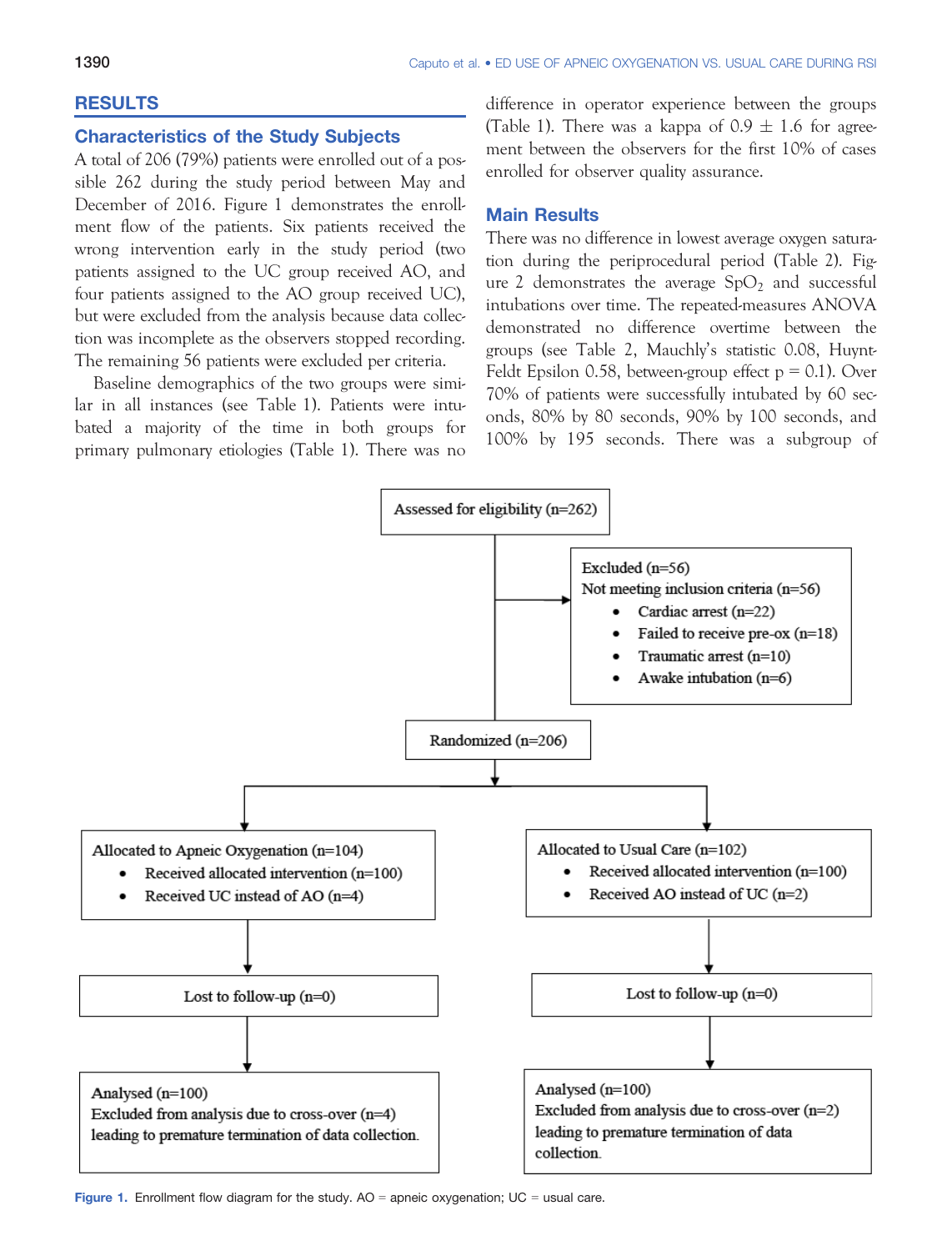## RESULTS

# Characteristics of the Study Subjects

A total of 206 (79%) patients were enrolled out of a possible 262 during the study period between May and December of 2016. Figure 1 demonstrates the enrollment flow of the patients. Six patients received the wrong intervention early in the study period (two patients assigned to the UC group received AO, and four patients assigned to the AO group received UC), but were excluded from the analysis because data collection was incomplete as the observers stopped recording. The remaining 56 patients were excluded per criteria.

Baseline demographics of the two groups were similar in all instances (see Table 1). Patients were intubated a majority of the time in both groups for primary pulmonary etiologies (Table 1). There was no difference in operator experience between the groups (Table 1). There was a kappa of  $0.9 \pm 1.6$  for agreement between the observers for the first 10% of cases enrolled for observer quality assurance.

## Main Results

There was no difference in lowest average oxygen saturation during the periprocedural period (Table 2). Figure 2 demonstrates the average  $SpO<sub>2</sub>$  and successful intubations over time. The repeated-measures ANOVA demonstrated no difference overtime between the groups (see Table 2, Mauchly's statistic 0.08, Huynt-Feldt Epsilon 0.58, between-group effect  $p = 0.1$ ). Over 70% of patients were successfully intubated by 60 seconds, 80% by 80 seconds, 90% by 100 seconds, and 100% by 195 seconds. There was a subgroup of



Figure 1. Enrollment flow diagram for the study.  $AO =$  apneic oxygenation;  $UC =$  usual care.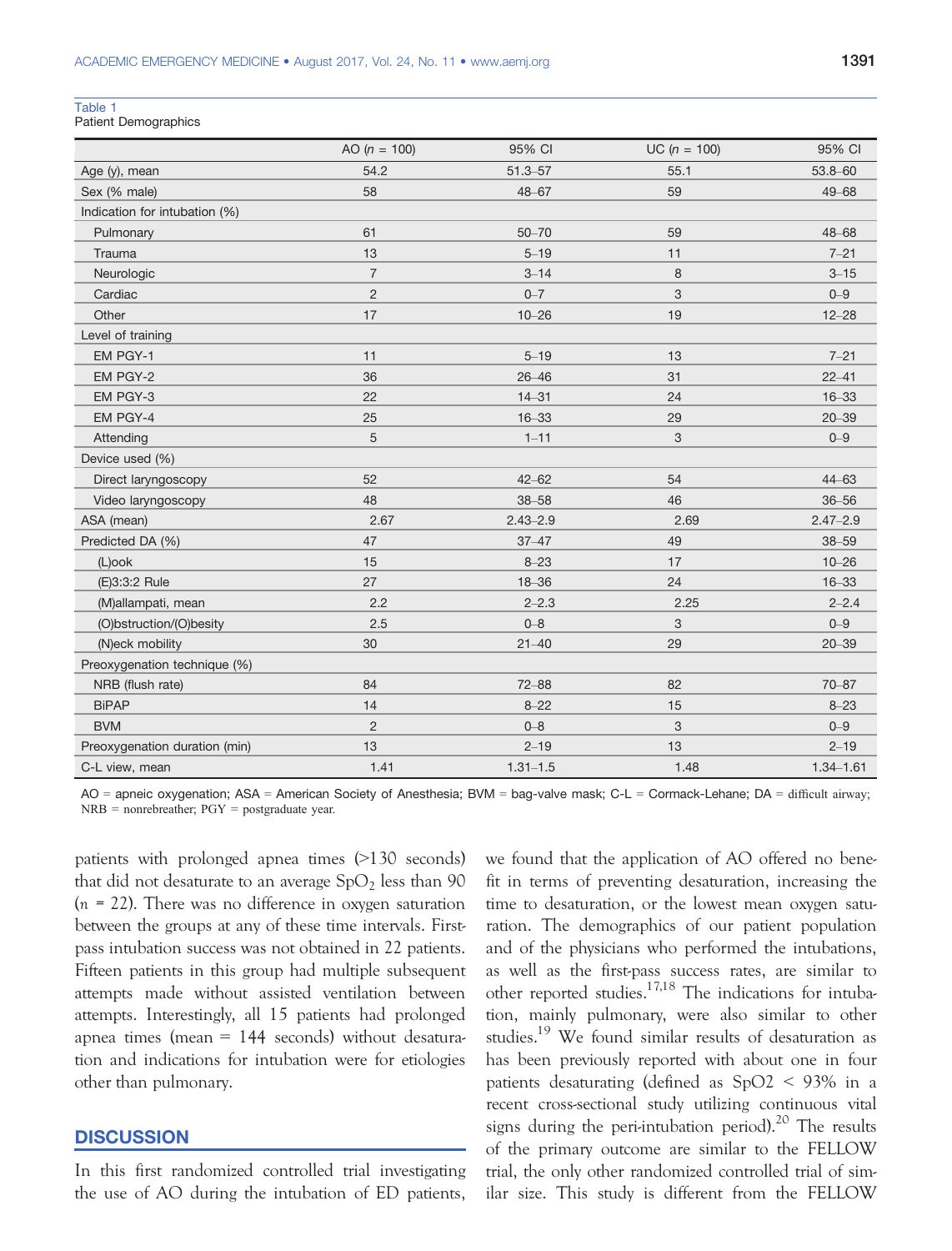#### Table 1

Patient Demographics

|                               | AO ( $n = 100$ ) | 95% CI       | $UC (n = 100)$            | 95% CI        |
|-------------------------------|------------------|--------------|---------------------------|---------------|
| Age (y), mean                 | 54.2             | $51.3 - 57$  | 55.1                      | 53.8-60       |
| Sex (% male)                  | 58               | 48-67        | 59                        | 49-68         |
| Indication for intubation (%) |                  |              |                           |               |
| Pulmonary                     | 61               | $50 - 70$    | 59                        | 48-68         |
| Trauma                        | 13               | $5 - 19$     | 11                        | $7 - 21$      |
| Neurologic                    | $\overline{7}$   | $3 - 14$     | 8                         | $3 - 15$      |
| Cardiac                       | $\overline{2}$   | $0 - 7$      | 3                         | $0 - 9$       |
| Other                         | 17               | $10 - 26$    | 19                        | $12 - 28$     |
| Level of training             |                  |              |                           |               |
| EM PGY-1                      | 11               | $5 - 19$     | 13                        | $7 - 21$      |
| EM PGY-2                      | 36               | $26 - 46$    | 31                        | $22 - 41$     |
| EM PGY-3                      | 22               | $14 - 31$    | 24                        | $16 - 33$     |
| EM PGY-4                      | 25               | $16 - 33$    | 29                        | $20 - 39$     |
| Attending                     | 5                | $1 - 11$     | $\ensuremath{\mathsf{3}}$ | $0 - 9$       |
| Device used (%)               |                  |              |                           |               |
| Direct laryngoscopy           | 52               | $42 - 62$    | 54                        | $44 - 63$     |
| Video laryngoscopy            | 48               | $38 - 58$    | 46                        | $36 - 56$     |
| ASA (mean)                    | 2.67             | $2.43 - 2.9$ | 2.69                      | $2.47 - 2.9$  |
| Predicted DA (%)              | 47               | $37 - 47$    | 49                        | $38 - 59$     |
| (L)ook                        | 15               | $8 - 23$     | 17                        | $10 - 26$     |
| (E)3:3:2 Rule                 | 27               | $18 - 36$    | 24                        | $16 - 33$     |
| (M)allampati, mean            | 2.2              | $2 - 2.3$    | 2.25                      | $2 - 2.4$     |
| (O)bstruction/(O)besity       | 2.5              | $0 - 8$      | 3                         | $0 - 9$       |
| (N)eck mobility               | 30               | $21 - 40$    | 29                        | $20 - 39$     |
| Preoxygenation technique (%)  |                  |              |                           |               |
| NRB (flush rate)              | 84               | $72 - 88$    | 82                        | $70 - 87$     |
| <b>BiPAP</b>                  | 14               | $8 - 22$     | 15                        | $8 - 23$      |
| <b>BVM</b>                    | $\overline{c}$   | $0 - 8$      | $\ensuremath{\mathsf{3}}$ | $0 - 9$       |
| Preoxygenation duration (min) | 13               | $2 - 19$     | 13                        | $2 - 19$      |
| C-L view, mean                | 1.41             | $1.31 - 1.5$ | 1.48                      | $1.34 - 1.61$ |

AO = apneic oxygenation; ASA = American Society of Anesthesia; BVM = bag-valve mask; C-L = Cormack-Lehane; DA = difficult airway; NRB = nonrebreather; PGY = postgraduate year.

patients with prolonged apnea times (>130 seconds) that did not desaturate to an average  $SpO<sub>2</sub>$  less than 90  $(n = 22)$ . There was no difference in oxygen saturation between the groups at any of these time intervals. Firstpass intubation success was not obtained in 22 patients. Fifteen patients in this group had multiple subsequent attempts made without assisted ventilation between attempts. Interestingly, all 15 patients had prolonged apnea times (mean  $= 144$  seconds) without desaturation and indications for intubation were for etiologies other than pulmonary.

## **DISCUSSION**

In this first randomized controlled trial investigating the use of AO during the intubation of ED patients, we found that the application of AO offered no benefit in terms of preventing desaturation, increasing the time to desaturation, or the lowest mean oxygen saturation. The demographics of our patient population and of the physicians who performed the intubations, as well as the first-pass success rates, are similar to other reported studies. $17,18$  The indications for intubation, mainly pulmonary, were also similar to other studies.<sup>19</sup> We found similar results of desaturation as has been previously reported with about one in four patients desaturating (defined as SpO2 < 93% in a recent cross-sectional study utilizing continuous vital signs during the peri-intubation period).<sup>20</sup> The results of the primary outcome are similar to the FELLOW trial, the only other randomized controlled trial of similar size. This study is different from the FELLOW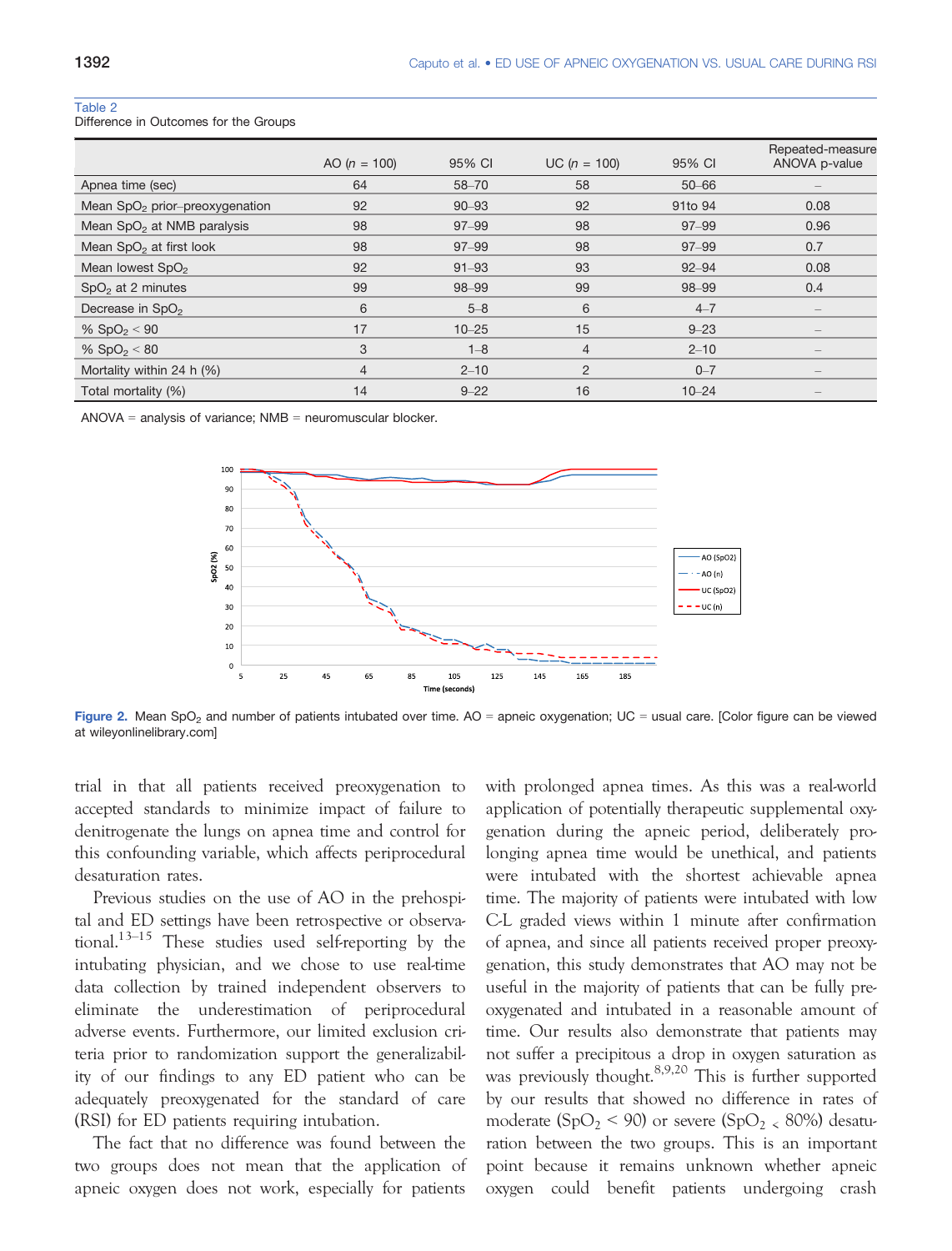#### Table 2

Difference in Outcomes for the Groups

|                                        | AO ( $n = 100$ ) | 95% CI    | $UC (n = 100)$ | 95% CI    | Repeated-measure<br>ANOVA p-value |
|----------------------------------------|------------------|-----------|----------------|-----------|-----------------------------------|
| Apnea time (sec)                       | 64               | $58 - 70$ | 58             | $50 - 66$ |                                   |
| Mean $SpO2$ prior-preoxygenation       | 92               | $90 - 93$ | 92             | 91to 94   | 0.08                              |
| Mean SpO <sub>2</sub> at NMB paralysis | 98               | $97 - 99$ | 98             | $97 - 99$ | 0.96                              |
| Mean SpO <sub>2</sub> at first look    | 98               | $97 - 99$ | 98             | $97 - 99$ | 0.7                               |
| Mean lowest SpO <sub>2</sub>           | 92               | $91 - 93$ | 93             | $92 - 94$ | 0.08                              |
| $SpO2$ at 2 minutes                    | 99               | 98-99     | 99             | 98-99     | 0.4                               |
| Decrease in SpO <sub>2</sub>           | 6                | $5 - 8$   | 6              | $4 - 7$   |                                   |
| % $SpO2 < 90$                          | 17               | $10 - 25$ | 15             | $9 - 23$  | $\overline{\phantom{a}}$          |
| % $SpO2 < 80$                          | 3                | $1 - 8$   | $\overline{4}$ | $2 - 10$  | $\overline{\phantom{a}}$          |
| Mortality within 24 h (%)              | $\overline{4}$   | $2 - 10$  | 2              | $0 - 7$   | $\qquad \qquad -$                 |
| Total mortality (%)                    | 14               | $9 - 22$  | 16             | $10 - 24$ | $\qquad \qquad -$                 |

ANOVA = analysis of variance:  $NMB$  = neuromuscular blocker.



Figure 2. Mean SpO<sub>2</sub> and number of patients intubated over time.  $AO =$  apneic oxygenation;  $UC =$  usual care. [Color figure can be viewed at wileyonlinelibrary.com]

trial in that all patients received preoxygenation to accepted standards to minimize impact of failure to denitrogenate the lungs on apnea time and control for this confounding variable, which affects periprocedural desaturation rates.

Previous studies on the use of AO in the prehospital and ED settings have been retrospective or observational.<sup>13–15</sup> These studies used self-reporting by the intubating physician, and we chose to use real-time data collection by trained independent observers to eliminate the underestimation of periprocedural adverse events. Furthermore, our limited exclusion criteria prior to randomization support the generalizability of our findings to any ED patient who can be adequately preoxygenated for the standard of care (RSI) for ED patients requiring intubation.

The fact that no difference was found between the two groups does not mean that the application of apneic oxygen does not work, especially for patients

with prolonged apnea times. As this was a real-world application of potentially therapeutic supplemental oxygenation during the apneic period, deliberately prolonging apnea time would be unethical, and patients were intubated with the shortest achievable apnea time. The majority of patients were intubated with low C-L graded views within 1 minute after confirmation of apnea, and since all patients received proper preoxygenation, this study demonstrates that AO may not be useful in the majority of patients that can be fully preoxygenated and intubated in a reasonable amount of time. Our results also demonstrate that patients may not suffer a precipitous a drop in oxygen saturation as was previously thought.<sup>8,9,20</sup> This is further supported by our results that showed no difference in rates of moderate (SpO<sub>2</sub> < 90) or severe (SpO<sub>2</sub> < 80%) desaturation between the two groups. This is an important point because it remains unknown whether apneic oxygen could benefit patients undergoing crash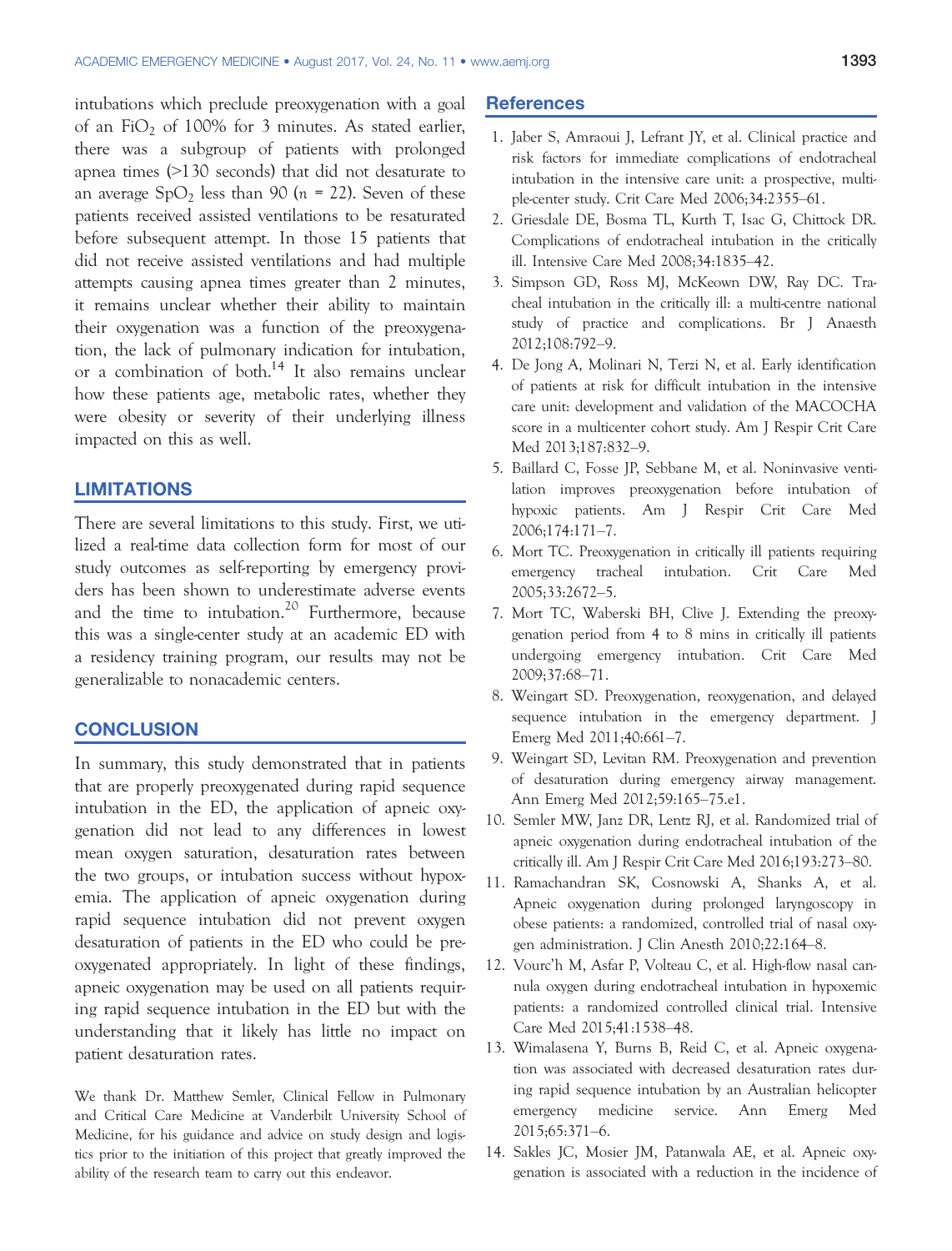intubations which preclude preoxygenation with a goal of an FiO<sub>2</sub> of 100% for 3 minutes. As stated earlier, there was a subgroup of patients with prolonged apnea times (>130 seconds) that did not desaturate to an average  $SpO<sub>2</sub>$  less than 90 (n = 22). Seven of these patients received assisted ventilations to be resaturated before subsequent attempt. In those 15 patients that did not receive assisted ventilations and had multiple attempts causing apnea times greater than 2 minutes, it remains unclear whether their ability to maintain their oxygenation was a function of the preoxygenation, the lack of pulmonary indication for intubation, or a combination of both.<sup>14</sup> It also remains unclear how these patients age, metabolic rates, whether they were obesity or severity of their underlying illness impacted on this as well.

## LIMITATIONS

There are several limitations to this study. First, we utilized a real-time data collection form for most of our study outcomes as self-reporting by emergency providers has been shown to underestimate adverse events and the time to intubation.<sup>20</sup> Furthermore, because this was a single-center study at an academic ED with a residency training program, our results may not be generalizable to nonacademic centers.

## **CONCLUSION**

In summary, this study demonstrated that in patients that are properly preoxygenated during rapid sequence intubation in the ED, the application of apneic oxygenation did not lead to any differences in lowest mean oxygen saturation, desaturation rates between the two groups, or intubation success without hypoxemia. The application of apneic oxygenation during rapid sequence intubation did not prevent oxygen desaturation of patients in the ED who could be preoxygenated appropriately. In light of these findings, apneic oxygenation may be used on all patients requiring rapid sequence intubation in the ED but with the understanding that it likely has little no impact on patient desaturation rates.

We thank Dr. Matthew Semler, Clinical Fellow in Pulmonary and Critical Care Medicine at Vanderbilt University School of Medicine, for his guidance and advice on study design and logistics prior to the initiation of this project that greatly improved the ability of the research team to carry out this endeavor.

## **References**

- 1. Jaber S, Amraoui J, Lefrant JY, et al. Clinical practice and risk factors for immediate complications of endotracheal intubation in the intensive care unit: a prospective, multiple-center study. Crit Care Med 2006;34:2355–61.
- 2. Griesdale DE, Bosma TL, Kurth T, Isac G, Chittock DR. Complications of endotracheal intubation in the critically ill. Intensive Care Med 2008;34:1835–42.
- 3. Simpson GD, Ross MJ, McKeown DW, Ray DC. Tracheal intubation in the critically ill: a multi-centre national study of practice and complications. Br J Anaesth 2012;108:792–9.
- 4. De Jong A, Molinari N, Terzi N, et al. Early identification of patients at risk for difficult intubation in the intensive care unit: development and validation of the MACOCHA score in a multicenter cohort study. Am J Respir Crit Care Med 2013;187:832–9.
- 5. Baillard C, Fosse JP, Sebbane M, et al. Noninvasive ventilation improves preoxygenation before intubation of hypoxic patients. Am J Respir Crit Care Med 2006;174:171–7.
- 6. Mort TC. Preoxygenation in critically ill patients requiring emergency tracheal intubation. Crit Care Med 2005;33:2672–5.
- 7. Mort TC, Waberski BH, Clive J. Extending the preoxygenation period from 4 to 8 mins in critically ill patients undergoing emergency intubation. Crit Care Med 2009;37:68–71.
- 8. Weingart SD. Preoxygenation, reoxygenation, and delayed sequence intubation in the emergency department. J Emerg Med 2011;40:661–7.
- 9. Weingart SD, Levitan RM. Preoxygenation and prevention of desaturation during emergency airway management. Ann Emerg Med 2012;59:165–75.e1.
- 10. Semler MW, Janz DR, Lentz RJ, et al. Randomized trial of apneic oxygenation during endotracheal intubation of the critically ill. Am J Respir Crit Care Med 2016;193:273–80.
- 11. Ramachandran SK, Cosnowski A, Shanks A, et al. Apneic oxygenation during prolonged laryngoscopy in obese patients: a randomized, controlled trial of nasal oxygen administration. J Clin Anesth 2010;22:164–8.
- 12. Vourc'h M, Asfar P, Volteau C, et al. High-flow nasal cannula oxygen during endotracheal intubation in hypoxemic patients: a randomized controlled clinical trial. Intensive Care Med 2015;41:1538–48.
- 13. Wimalasena Y, Burns B, Reid C, et al. Apneic oxygenation was associated with decreased desaturation rates during rapid sequence intubation by an Australian helicopter emergency medicine service. Ann Emerg Med 2015;65:371–6.
- 14. Sakles JC, Mosier JM, Patanwala AE, et al. Apneic oxygenation is associated with a reduction in the incidence of